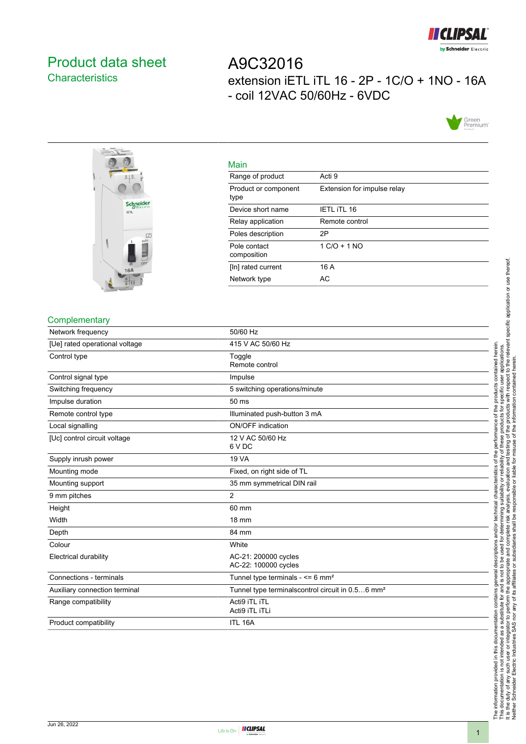

# <span id="page-0-0"></span>Product data sheet **Characteristics**

# A9C32016 extension iETL iTL 16 - 2P - 1C/O + 1NO - 16A - coil 12VAC 50/60Hz - 6VDC





| Acti 9                      |
|-----------------------------|
| Extension for impulse relay |
| <b>IETL ITL 16</b>          |
| Remote control              |
| 2P                          |
| $1 C/O + 1 NO$              |
| 16 A                        |
| AC                          |
|                             |

#### **Complementary**

| Network frequency              | 50/60 Hz                                                     |
|--------------------------------|--------------------------------------------------------------|
| [Ue] rated operational voltage | 415 V AC 50/60 Hz                                            |
| Control type                   | Toggle<br>Remote control                                     |
| Control signal type            | Impulse                                                      |
| Switching frequency            | 5 switching operations/minute                                |
| Impulse duration               | 50 ms                                                        |
| Remote control type            | Illuminated push-button 3 mA                                 |
| Local signalling               | ON/OFF indication                                            |
| [Uc] control circuit voltage   | 12 V AC 50/60 Hz<br>6 V DC                                   |
| Supply inrush power            | <b>19 VA</b>                                                 |
| Mounting mode                  | Fixed, on right side of TL                                   |
| Mounting support               | 35 mm symmetrical DIN rail                                   |
| 9 mm pitches                   | $\overline{2}$                                               |
| Height                         | 60 mm                                                        |
| Width                          | 18 mm                                                        |
| Depth                          | 84 mm                                                        |
| Colour                         | White                                                        |
| <b>Electrical durability</b>   | AC-21: 200000 cycles<br>AC-22: 100000 cycles                 |
| Connections - terminals        | Tunnel type terminals - $\leq 6$ mm <sup>2</sup>             |
| Auxiliary connection terminal  | Tunnel type terminalscontrol circuit in 0.56 mm <sup>2</sup> |
| Range compatibility            | Acti9 iTL iTL<br>Acti9 iTL iTLi                              |
| Product compatibility          | ITL 16A                                                      |